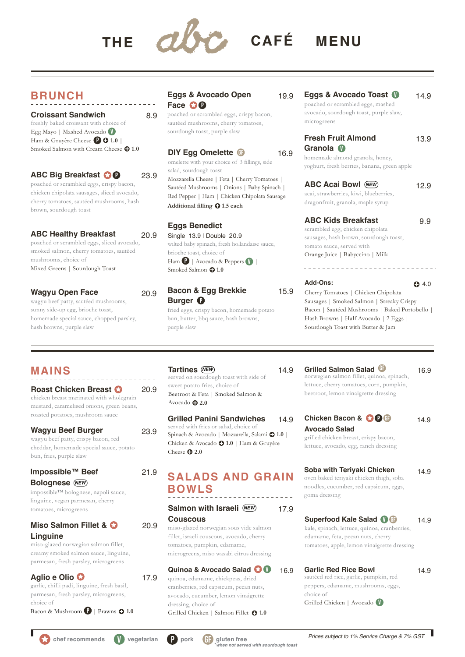

# **BRUNCH**

**Croissant Sandwich** 8.9 freshly baked croissant with choice of Egg Mayo | Mashed Avocado  $\bigcup$  | Ham & Gruyère Cheese **P 0** 1.0 Smoked Salmon with Cream Cheese  $\bigcirc$  1.0

## **ABC Big Breakfast <b>OD** 23.9

poached or scrambled eggs, crispy bacon, chicken chipolata sausages, sliced avocado, cherry tomatoes, sautéed mushrooms, hash brown, sourdough toast

#### **ABC Healthy Breakfast** 20.9 poached or scrambled eggs, sliced avocado, smoked salmon, cherry tomatoes, sautéed mushrooms, choice of

Mixed Greens | Sourdough Toast

# **Wagyu Open Face** 20.9

wagyu beef patty, sautéed mushrooms, sunny side-up egg, brioche toast, homemade special sauce, chopped parsley, hash browns, purple slaw

### **Eggs & Avocado Open Face OC**

poached or scrambled eggs, crispy bacon, sautéed mushrooms, cherry tomatoes, sourdough toast, purple slaw

## **DIY Egg Omelette**

omelette with your choice of 3 fillings, side salad, sourdough toast Mozzarella Cheese | Feta | Cherry Tomatoes | Sautéed Mushrooms | Onions | Baby Spinach | Red Pepper | Ham | Chicken Chipolata Sausage **Additional filling 1.5 each**

## **Eggs Benedict**

Single 13.9 | Double 20.9 wilted baby spinach, fresh hollandaise sauce, brioche toast, choice of Ham  $\bullet$  | Avocado & Peppers  $\bullet$  | Smoked Salmon  $\bigodot$  1.0

### **Bacon & Egg Brekkie** 15.9 **Burger**

fried eggs, crispy bacon, homemade potato bun, butter, bbq sauce, hash browns, purple slaw

#### 19.9 Eggs & Avocado Toast **U** poached or scrambled eggs, mashed avocado, sourdough toast, purple slaw, microgreens 14.9

#### **Fresh Fruit Almond**  Granola<sup>(</sup> 13.9

homemade almond granola, honey, yoghurt, fresh berries, banana, green apple

# **ABC Acai Bowl** (*NEW*) 12.9

acai, strawberries, kiwi, blueberries, dragonfruit, granola, maple syrup

## **ABC Kids Breakfast** 9.9

scrambled egg, chicken chipolata sausages, hash brown, sourdough toast, tomato sauce, served with Orange Juice | Babyccino | Milk

<u> - - - - - - - - - - - - - - - -</u>

#### **Add-Ons:**

 $O4.0$ 

Cherry Tomatoes | Chicken Chipolata Sausages | Smoked Salmon | Streaky Crispy Bacon | Sautéed Mushrooms | Baked Portobello | Hash Browns | Half Avocado | 2 Eggs | Sourdough Toast with Butter & Jam

# **MAINS**

#### **Roast Chicken Breast**  chicken breast marinated with wholegrain mustard, caramelised onions, green beans, roasted potatoes, mushroom sauce 20.9

## **Wagyu Beef Burger**

wagyu beef patty, crispy bacon, red cheddar, homemade special sauce, potato bun, fries, purple slaw

21.9

20.9

17.9

### **Impossible™ Beef Bolognese** (*NEW*

impossible™ bolognese, napoli sauce, linguine, vegan parmesan, cherry tomatoes, microgreens

### **Miso Salmon Fillet & Linguine**

miso-glazed norwegian salmon fillet, creamy smoked salmon sauce, linguine, parmesan, fresh parsley, microgreens

#### **Aglio e Olio**

garlic, chilli padi, linguine, fresh basil, parmesan, fresh parsley, microgreens, choice of

Bacon & Mushroom  $\bullet$  | Prawns  $\bullet$  1.0

#### *NEW* **Tartines** 14.9 served on sourdough toast with side of sweet potato fries, choice of Beetroot & Feta | Smoked Salmon & Avocado **2.0**

**Grilled Panini Sandwiches** served with fries or salad, choice of 14.9 23.9 Seived while the So salad, enotee of Spinach & Avocado | Mozzarella, Salami **0** 1.0 | Chicken & Avocado **1.0** | Ham & Gruyère Cheese **3 2.0** 

# **SALADS AND GRAIN BOWLS**

**Salmon with Israeli (NEW) Couscous** miso-glazed norwegian sous vide salmon 17.9 *NEW*

#### fillet, israeli couscous, avocado, cherry tomatoes, pumpkin, edamame, microgreens, miso wasabi citrus dressing

#### **Quinoa & Avocado Salad** quinoa, edamame, chickpeas, dried cranberries, red capsicum, pecan nuts, avocado, cucumber, lemon vinaigrette dressing, choice of **V** 16.9

Grilled Chicken | Salmon Fillet **1.0**

**GF** 16.9

**Grilled Salmon Salad**

16.9 **GF**

14.9

norwegian salmon fillet, quinoa, spinach, lettuce, cherry tomatoes, corn, pumpkin, beetroot, lemon vinaigrette dressing

## **Chicken Bacon & <b>CP GF** 14.9

**Avocado Salad** grilled chicken breast, crispy bacon, lettuce, avocado, egg, ranch dressing

#### **Soba with Teriyaki Chicken** oven baked teriyaki chicken thigh, soba noodles, cucumber, red capsicum, eggs, goma dressing 14.9

**Superfood Kale Salad U GF** 14.9 kale, spinach, lettuce, quinoa, cranberries, edamame, feta, pecan nuts, cherry tomatoes, apple, lemon vinaigrette dressing

#### **Garlic Red Rice Bowl** sautéed red rice, garlic, pumpkin, red peppers, edamame, mushrooms, eggs, choice of Grilled Chicken | Avocado V

**chef recommends V vegetarian P pork GF gluten free**